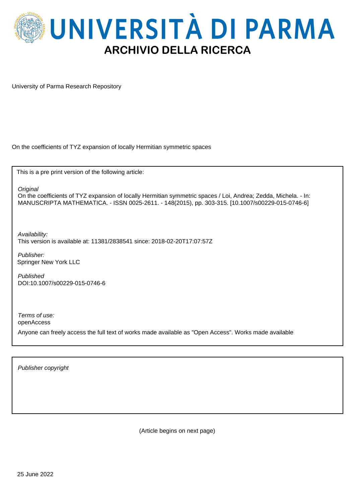

University of Parma Research Repository

On the coefficients of TYZ expansion of locally Hermitian symmetric spaces

This is a pre print version of the following article:

**Original** 

On the coefficients of TYZ expansion of locally Hermitian symmetric spaces / Loi, Andrea; Zedda, Michela. - In: MANUSCRIPTA MATHEMATICA. - ISSN 0025-2611. - 148(2015), pp. 303-315. [10.1007/s00229-015-0746-6]

Availability: This version is available at: 11381/2838541 since: 2018-02-20T17:07:57Z

Publisher: Springer New York LLC

Published DOI:10.1007/s00229-015-0746-6

Terms of use: openAccess

Anyone can freely access the full text of works made available as "Open Access". Works made available

Publisher copyright

(Article begins on next page)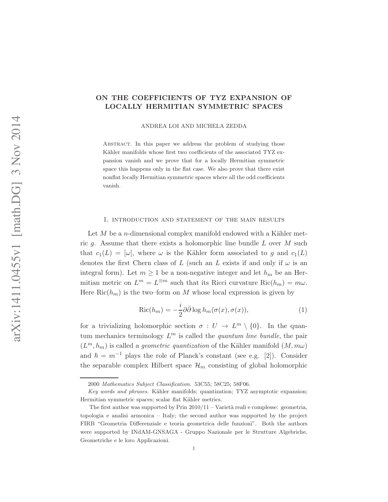### ON THE COEFFICIENTS OF TYZ EXPANSION OF LOCALLY HERMITIAN SYMMETRIC SPACES

ANDREA LOI AND MICHELA ZEDDA

ABSTRACT. In this paper we address the problem of studying those Kähler manifolds whose first two coefficients of the associated TYZ expansion vanish and we prove that for a locally Hermitian symmetric space this happens only in the flat case. We also prove that there exist nonflat locally Hermitian symmetric spaces where all the odd coefficients vanish.

### 1. introduction and statement of the main results

Let  $M$  be a *n*-dimensional complex manifold endowed with a Kähler metric g. Assume that there exists a holomorphic line bundle  $L$  over  $M$  such that  $c_1(L)=[\omega]$ , where  $\omega$  is the Kähler form associated to g and  $c_1(L)$ denotes the first Chern class of L (such an L exists if and only if  $\omega$  is an integral form). Let  $m \geq 1$  be a non-negative integer and let  $h_m$  be an Hermitian metric on  $L^m = L^{\otimes m}$  such that its Ricci curvature  $\text{Ric}(h_m) = m\omega$ . Here  $\text{Ric}(h_m)$  is the two–form on M whose local expression is given by

<span id="page-1-0"></span>
$$
Ric(h_m) = -\frac{i}{2}\partial\bar{\partial}\log h_m(\sigma(x), \sigma(x)),\tag{1}
$$

for a trivializing holomorphic section  $\sigma: U \to L^m \setminus \{0\}$ . In the quantum mechanics terminology  $L^m$  is called the *quantum line bundle*, the pair  $(L^m, h_m)$  is called a *geometric quantization* of the Kähler manifold  $(M, m\omega)$ and  $\hbar = m^{-1}$  plays the role of Planck's constant (see e.g. [\[2\]](#page-14-0)). Consider the separable complex Hilbert space  $\mathcal{H}_m$  consisting of global holomorphic

<sup>2000</sup> Mathematics Subject Classification. 53C55; 58C25; 58F06.

 $Key words and phrases. Kähler manifolds; quantization; TYZ asymptotic expansion;$ Hermitian symmetric spaces; scalar flat Kähler metrics.

The first author was supported by Prin  $2010/11$  – Varietà reali e complesse: geometria, topologia e analisi armonica – Italy; the second author was supported by the project FIRB "Geometria Differenziale e teoria geometrica delle funzioni". Both the authors were supported by INdAM-GNSAGA - Gruppo Nazionale per le Strutture Algebriche, Geometriche e le loro Applicazioni.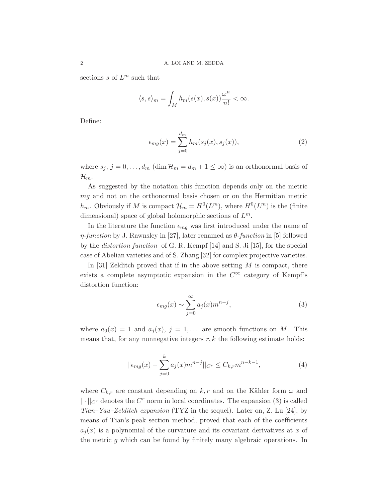sections s of  $L^m$  such that

$$
\langle s, s \rangle_m = \int_M h_m(s(x), s(x)) \frac{\omega^n}{n!} < \infty.
$$

Define:

$$
\epsilon_{mg}(x) = \sum_{j=0}^{d_m} h_m(s_j(x), s_j(x)),\tag{2}
$$

where  $s_j$ ,  $j = 0, \ldots, d_m$  (dim  $\mathcal{H}_m = d_m + 1 \leq \infty$ ) is an orthonormal basis of  $\mathcal{H}_m$ .

As suggested by the notation this function depends only on the metric mg and not on the orthonormal basis chosen or on the Hermitian metric  $h_m$ . Obviously if M is compact  $\mathcal{H}_m = H^0(L^m)$ , where  $H^0(L^m)$  is the (finite dimensional) space of global holomorphic sections of  $L^m$ .

In the literature the function  $\epsilon_{mq}$  was first introduced under the name of  $\eta$ -function by J. Rawnsley in [\[27\]](#page-15-0), later renamed as  $\theta$ -function in [\[5\]](#page-14-1) followed by the *distortion function* of G. R. Kempf  $[14]$  and S. Ji  $[15]$ , for the special case of Abelian varieties and of S. Zhang [\[32\]](#page-16-0) for complex projective varieties.

In [\[31\]](#page-16-1) Zelditch proved that if in the above setting  $M$  is compact, there exists a complete asymptotic expansion in the  $C^{\infty}$  category of Kempf's distortion function:

<span id="page-2-0"></span>
$$
\epsilon_{mg}(x) \sim \sum_{j=0}^{\infty} a_j(x) m^{n-j},\tag{3}
$$

where  $a_0(x) = 1$  and  $a_i(x)$ ,  $j = 1,...$  are smooth functions on M. This means that, for any nonnegative integers  $r, k$  the following estimate holds:

<span id="page-2-1"></span>
$$
||\epsilon_{mg}(x) - \sum_{j=0}^{k} a_j(x) m^{n-j}||_{C^r} \le C_{k,r} m^{n-k-1},
$$
\n(4)

where  $C_{k,r}$  are constant depending on k, r and on the Kähler form  $\omega$  and  $||\cdot||_{C^r}$  denotes the  $C^r$  norm in local coordinates. The expansion [\(3\)](#page-2-0) is called Tian–Yau–Zelditch expansion (TYZ in the sequel). Later on, Z. Lu [\[24\]](#page-15-3), by means of Tian's peak section method, proved that each of the coefficients  $a_i(x)$  is a polynomial of the curvature and its covariant derivatives at x of the metric g which can be found by finitely many algebraic operations. In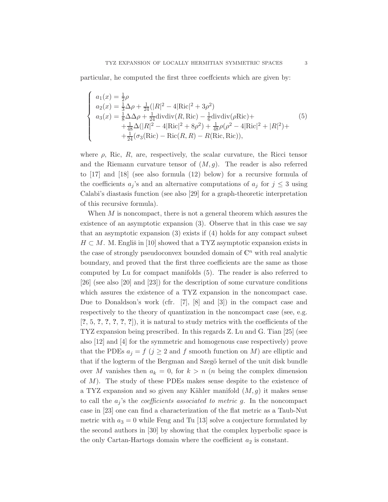particular, he computed the first three coeffcients which are given by:

<span id="page-3-0"></span>
$$
\begin{cases}\na_1(x) = \frac{1}{2}\rho \\
a_2(x) = \frac{1}{3}\Delta\rho + \frac{1}{24}(|R|^2 - 4|\text{Ric}|^2 + 3\rho^2) \\
a_3(x) = \frac{1}{8}\Delta\Delta\rho + \frac{1}{24}\text{divdiv}(R, \text{Ric}) - \frac{1}{6}\text{divdiv}(\rho\text{Ric}) + \\
\quad + \frac{1}{48}\Delta(|R|^2 - 4|\text{Ric}|^2 + 8\rho^2) + \frac{1}{48}\rho(\rho^2 - 4|\text{Ric}|^2 + |R|^2) + \\
\quad + \frac{1}{24}(\sigma_3(\text{Ric}) - \text{Ric}(R, R) - R(\text{Ric}, \text{Ric})),\n\end{cases}
$$
\n(5)

where  $\rho$ , Ric, R, are, respectively, the scalar curvature, the Ricci tensor and the Riemann curvature tensor of  $(M, g)$ . The reader is also referred to [\[17\]](#page-15-4) and [\[18\]](#page-15-5) (see also formula [\(12\)](#page-9-0) below) for a recursive formula of the coefficients  $a_j$ 's and an alternative computations of  $a_j$  for  $j \leq 3$  using Calabi's diastasis function (see also [\[29\]](#page-15-6) for a graph-theoretic interpretation of this recursive formula).

When  $M$  is noncompact, there is not a general theorem which assures the existence of an asymptotic expansion [\(3\)](#page-2-0). Observe that in this case we say that an asymptotic expansion [\(3\)](#page-2-0) exists if [\(4\)](#page-2-1) holds for any compact subset  $H \subset M$ . M. Engliš in [\[10\]](#page-15-7) showed that a TYZ asymptotic expansion exists in the case of strongly pseudoconvex bounded domain of  $\mathbb{C}^n$  with real analytic boundary, and proved that the first three coefficients are the same as those computed by Lu for compact manifolds [\(5\)](#page-3-0). The reader is also referred to [\[26\]](#page-15-8) (see also [\[20\]](#page-15-9) and [\[23\]](#page-15-10)) for the description of some curvature conditions which assures the existence of a TYZ expansion in the noncompact case. Due to Donaldson's work (cfr. [\[7\]](#page-14-2), [\[8\]](#page-14-3) and [\[3\]](#page-14-4)) in the compact case and respectively to the theory of quantization in the noncompact case (see, e.g.  $[?, 5, ?, ?, ?, ?, ?, 7],$  $[?, 5, ?, ?, ?, ?, ?, 7],$  $[?, 5, ?, ?, ?, ?, ?, 7],$  it is natural to study metrics with the coefficients of the TYZ expansion being prescribed. In this regards Z. Lu and G. Tian [\[25\]](#page-15-11) (see also [\[12\]](#page-15-12) and [\[4\]](#page-14-5) for the symmetric and homogenous case respectively) prove that the PDEs  $a_j = f$   $(j \geq 2$  and f smooth function on M) are elliptic and that if the logterm of the Bergman and Szegö kernel of the unit disk bundle over M vanishes then  $a_k = 0$ , for  $k > n$  (*n* being the complex dimension of  $M$ ). The study of these PDEs makes sense despite to the existence of a TYZ expansion and so given any Kähler manifold  $(M, g)$  it makes sense to call the  $a_j$ 's the *coefficients associated to metric g*. In the noncompact case in [\[23\]](#page-15-10) one can find a characterization of the flat metric as a Taub-Nut metric with  $a_3 = 0$  while Feng and Tu [\[13\]](#page-15-13) solve a conjecture formulated by the second authors in [\[30\]](#page-15-14) by showing that the complex hyperbolic space is the only Cartan-Hartogs domain where the coefficient  $a_2$  is constant.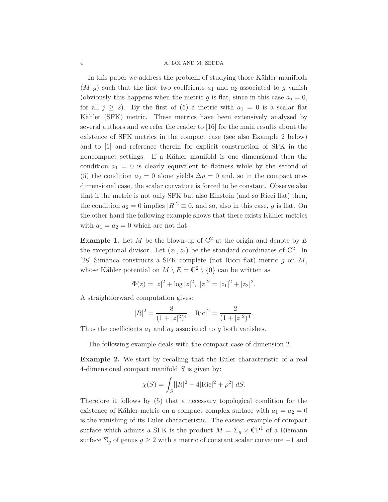#### 4 A. LOI AND M. ZEDDA

In this paper we address the problem of studying those Kähler manifolds  $(M, g)$  such that the first two coefficients  $a_1$  and  $a_2$  associated to g vanish (obviously this happens when the metric g is flat, since in this case  $a_i = 0$ , for all  $j \geq 2$ ). By the first of [\(5\)](#page-3-0) a metric with  $a_1 = 0$  is a scalar flat Kähler (SFK) metric. These metrics have been extensively analysed by several authors and we refer the reader to [\[16\]](#page-15-15) for the main results about the existence of SFK metrics in the compact case (see also Example [2](#page-4-0) below) and to [\[1\]](#page-14-6) and reference therein for explicit construction of SFK in the noncompact settings. If a Kähler manifold is one dimensional then the condition  $a_1 = 0$  is clearly equivalent to flatness while by the second of [\(5\)](#page-3-0) the condition  $a_2 = 0$  alone yields  $\Delta \rho = 0$  and, so in the compact onedimensional case, the scalar curvature is forced to be constant. Observe also that if the metric is not only SFK but also Einstein (and so Ricci flat) then, the condition  $a_2 = 0$  implies  $|R|^2 \equiv 0$ , and so, also in this case, g is flat. On the other hand the following example shows that there exists Kähler metrics with  $a_1 = a_2 = 0$  which are not flat.

<span id="page-4-1"></span>**Example 1.** Let M be the blown-up of  $\mathbb{C}^2$  at the origin and denote by E the exceptional divisor. Let  $(z_1, z_2)$  be the standard coordinates of  $\mathbb{C}^2$ . In [\[28\]](#page-15-16) Simanca constructs a SFK complete (not Ricci flat) metric g on M, whose Kähler potential on  $M \setminus E = \mathbb{C}^2 \setminus \{0\}$  can be written as

$$
\Phi(z) = |z|^2 + \log |z|^2, \ |z|^2 = |z_1|^2 + |z_2|^2.
$$

A straightforward computation gives:

$$
|R|^2 = \frac{8}{(1+|z|^2)^4}, \ |Ric|^2 = \frac{2}{(1+|z|^2)^4}.
$$

Thus the coefficients  $a_1$  and  $a_2$  associated to g both vanishes.

The following example deals with the compact case of dimension 2.

<span id="page-4-0"></span>Example 2. We start by recalling that the Euler characteristic of a real 4-dimensional compact manifold  $S$  is given by:

$$
\chi(S) = \int_S [|R|^2 - 4|\text{Ric}|^2 + \rho^2] \, dS.
$$

Therefore it follows by [\(5\)](#page-3-0) that a necessary topological condition for the existence of Kähler metric on a compact complex surface with  $a_1 = a_2 = 0$ is the vanishing of its Euler characteristic. The easiest example of compact surface which admits a SFK is the product  $M = \Sigma_g \times \mathbb{C}P^1$  of a Riemann surface  $\Sigma_q$  of genus  $g \geq 2$  with a metric of constant scalar curvature  $-1$  and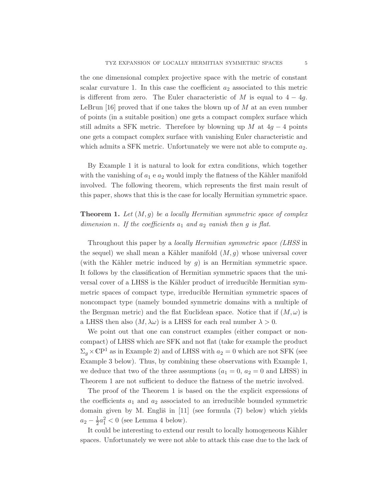the one dimensional complex projective space with the metric of constant scalar curvature 1. In this case the coefficient  $a_2$  associated to this metric is different from zero. The Euler characteristic of M is equal to  $4 - 4g$ . LeBrun [\[16\]](#page-15-15) proved that if one takes the blown up of  $M$  at an even number of points (in a suitable position) one gets a compact complex surface which still admits a SFK metric. Therefore by blowning up M at  $4g - 4$  points one gets a compact complex surface with vanishing Euler characteristic and which admits a SFK metric. Unfortunately we were not able to compute  $a_2$ .

By Example [1](#page-4-1) it is natural to look for extra conditions, which together with the vanishing of  $a_1$  e  $a_2$  would imply the flatness of the Kähler manifold involved. The following theorem, which represents the first main result of this paper, shows that this is the case for locally Hermitian symmetric space.

# <span id="page-5-0"></span>**Theorem 1.** Let  $(M, g)$  be a locally Hermitian symmetric space of complex dimension n. If the coefficients  $a_1$  and  $a_2$  vanish then g is flat.

Throughout this paper by a *locally Hermitian symmetric space (LHSS* in the sequel) we shall mean a Kähler manifold  $(M, g)$  whose universal cover (with the Kähler metric induced by  $q$ ) is an Hermitian symmetric space. It follows by the classification of Hermitian symmetric spaces that the universal cover of a LHSS is the Kähler product of irreducible Hermitian symmetric spaces of compact type, irreducible Hermitian symmetric spaces of noncompact type (namely bounded symmetric domains with a multiple of the Bergman metric) and the flat Euclidean space. Notice that if  $(M, \omega)$  is a LHSS then also  $(M, \lambda \omega)$  is a LHSS for each real number  $\lambda > 0$ .

We point out that one can construct examples (either compact or noncompact) of LHSS which are SFK and not flat (take for example the product  $\Sigma_q \times \mathbb{C}P^1$  as in Example [2\)](#page-4-0) and of LHSS with  $a_2 = 0$  which are not SFK (see Example [3](#page-8-0) below). Thus, by combining these observations with Example [1,](#page-4-1) we deduce that two of the three assumptions  $(a_1 = 0, a_2 = 0 \text{ and LHSS})$  in Theorem [1](#page-5-0) are not sufficient to deduce the flatness of the metric involved.

The proof of the Theorem [1](#page-5-0) is based on the the explicit expressions of the coefficients  $a_1$  and  $a_2$  associated to an irreducible bounded symmetric domain given by M. Engliš in  $[11]$  (see formula  $(7)$  below) which yields  $a_2 - \frac{1}{2}a_1^2 < 0$  (see Lemma [4](#page-7-0) below).

It could be interesting to extend our result to locally homogeneous Kähler spaces. Unfortunately we were not able to attack this case due to the lack of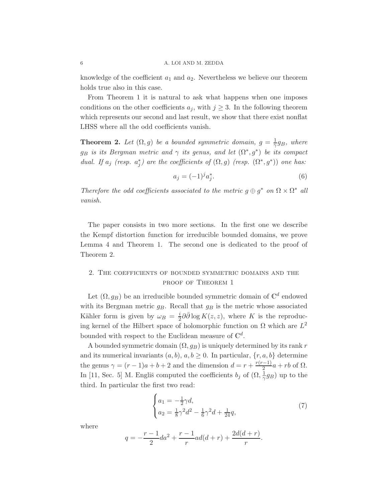knowledge of the coefficient  $a_1$  and  $a_2$ . Nevertheless we believe our theorem holds true also in this case.

From Theorem [1](#page-5-0) it is natural to ask what happens when one imposes conditions on the other coefficients  $a_j$ , with  $j \geq 3$ . In the following theorem which represents our second and last result, we show that there exist nonflat LHSS where all the odd coefficients vanish.

<span id="page-6-1"></span>**Theorem 2.** Let  $(\Omega, g)$  be a bounded symmetric domain,  $g = \frac{1}{\gamma} g_B$ , where  $g_B$  is its Bergman metric and  $\gamma$  its genus, and let  $(\Omega^*, g^*)$  be its compact dual. If  $a_j$  (resp.  $a_j^*$ ) are the coefficients of  $(\Omega, g)$  (resp.  $(\Omega^*, g^*)$ ) one has:

<span id="page-6-2"></span>
$$
a_j = (-1)^j a_j^*.
$$
 (6)

Therefore the odd coefficients associated to the metric  $g \oplus g^*$  on  $\Omega \times \Omega^*$  all vanish.

The paper consists in two more sections. In the first one we describe the Kempf distortion function for irreducible bounded domains, we prove Lemma [4](#page-7-0) and Theorem [1.](#page-5-0) The second one is dedicated to the proof of Theorem [2.](#page-6-1)

## 2. The coefficients of bounded symmetric domains and the proof of Theorem [1](#page-5-0)

Let  $(\Omega, g_B)$  be an irreducible bounded symmetric domain of  $\mathbb{C}^d$  endowed with its Bergman metric  $g_B$ . Recall that  $g_B$  is the metric whose associated Kähler form is given by  $\omega_B = \frac{i}{2} \partial \bar{\partial} \log K(z, z)$ , where K is the reproducing kernel of the Hilbert space of holomorphic function on  $\Omega$  which are  $L^2$ bounded with respect to the Euclidean measure of  $\mathbb{C}^d$ .

A bounded symmetric domain  $(\Omega, g_B)$  is uniquely determined by its rank r and its numerical invariants  $(a, b)$ ,  $a, b \ge 0$ . In particular,  $\{r, a, b\}$  determine the genus  $\gamma = (r-1)a + b + 2$  and the dimension  $d = r + \frac{r(r-1)}{2}a + rb$  of  $\Omega$ . In [\[11,](#page-15-17) Sec. 5] M. Engliš computed the coefficients  $b_j$  of  $(\Omega, \frac{1}{\gamma}g_B)$  up to the third. In particular the first two read:

<span id="page-6-0"></span>
$$
\begin{cases}\na_1 = -\frac{1}{2}\gamma d, \\
a_2 = \frac{1}{8}\gamma^2 d^2 - \frac{1}{6}\gamma^2 d + \frac{1}{24}q,\n\end{cases} \tag{7}
$$

where

$$
q = -\frac{r-1}{2}da^2 + \frac{r-1}{r}ad(d+r) + \frac{2d(d+r)}{r}.
$$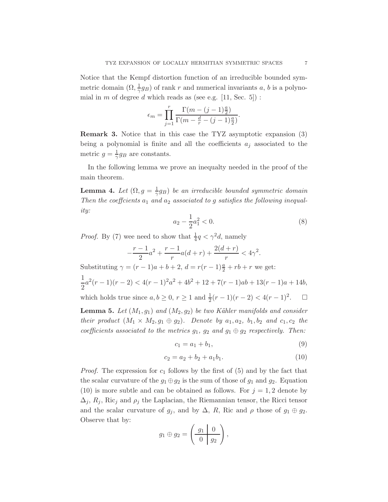Notice that the Kempf distortion function of an irreducible bounded symmetric domain  $(\Omega, \frac{1}{\gamma}g_B)$  of rank r and numerical invariants a, b is a polynomial in  $m$  of degree  $d$  which reads as (see e.g. [\[11,](#page-15-17) Sec. 5]) :

$$
\epsilon_m = \prod_{j=1}^r \frac{\Gamma(m - (j-1)\frac{a}{2})}{\Gamma(m - \frac{d}{r} - (j-1)\frac{a}{2})}.
$$

Remark 3. Notice that in this case the TYZ asymptotic expansion [\(3\)](#page-2-0) being a polynomial is finite and all the coefficients  $a_j$  associated to the metric  $g = \frac{1}{\gamma} g_B$  are constants.

In the following lemma we prove an inequalty needed in the proof of the main theorem.

<span id="page-7-0"></span>**Lemma 4.** Let  $(\Omega, g = \frac{1}{\gamma}g_B)$  be an irreducible bounded symmetric domain Then the coefficients  $a_1$  and  $a_2$  associated to g satisfies the following inequality:

<span id="page-7-3"></span>
$$
a_2 - \frac{1}{2}a_1^2 < 0. \tag{8}
$$

*Proof.* By [\(7\)](#page-6-0) wee need to show that  $\frac{1}{4}q < \gamma^2 d$ , namely

$$
-\frac{r-1}{2}a^2 + \frac{r-1}{r}a(d+r) + \frac{2(d+r)}{r} < 4\gamma^2.
$$

Substituting  $\gamma = (r - 1)a + b + 2$ ,  $d = r(r - 1)\frac{a}{2} + rb + r$  we get:

$$
\frac{1}{2}a^2(r-1)(r-2) < 4(r-1)^2a^2 + 4b^2 + 12 + 7(r-1)ab + 13(r-1)a + 14b,
$$
\nwhich holds true since  $a, b \ge 0, r \ge 1$  and  $\frac{1}{2}(r-1)(r-2) < 4(r-1)^2$ .

\n $\Box$ 

<span id="page-7-2"></span>**Lemma 5.** Let  $(M_1, g_1)$  and  $(M_2, g_2)$  be two Kähler manifolds and consider their product  $(M_1 \times M_2, g_1 \oplus g_2)$ . Denote by  $a_1, a_2, b_1, b_2$  and  $c_1, c_2$  the coefficients associated to the metrics  $g_1$ ,  $g_2$  and  $g_1 \oplus g_2$  respectively. Then:

$$
c_1 = a_1 + b_1,\t\t(9)
$$

<span id="page-7-1"></span>
$$
c_2 = a_2 + b_2 + a_1 b_1. \tag{10}
$$

*Proof.* The expression for  $c_1$  follows by the first of  $(5)$  and by the fact that the scalar curvature of the  $g_1 \oplus g_2$  is the sum of those of  $g_1$  and  $g_2$ . Equation [\(10\)](#page-7-1) is more subtle and can be obtained as follows. For  $j = 1, 2$  denote by  $\Delta_i$ ,  $R_i$ , Ric<sub>i</sub> and  $\rho_i$  the Laplacian, the Riemannian tensor, the Ricci tensor and the scalar curvature of  $g_j$ , and by  $\Delta$ , R, Ric and  $\rho$  those of  $g_1 \oplus g_2$ . Observe that by:

$$
g_1 \oplus g_2 = \left(\begin{array}{c|c} g_1 & 0 \\ \hline 0 & g_2 \end{array}\right),
$$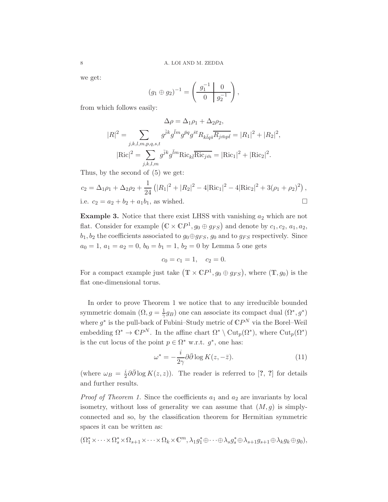we get:

$$
(g_1 \oplus g_2)^{-1} = \left(\begin{array}{c|c} g_1^{-1} & 0\\ \hline 0 & g_2^{-1} \end{array}\right),
$$

from which follows easily:

$$
\Delta \rho = \Delta_1 \rho_1 + \Delta_2 \rho_2,
$$
  
\n
$$
|R|^2 = \sum_{j,k,l,m,p,q,s,t} g^{jk} g^{\bar{l}m} g^{\bar{p}q} g^{\bar{s}t} R_{k\bar{l}q\bar{s}} \overline{R_{j\bar{m}p\bar{t}}} = |R_1|^2 + |R_2|^2,
$$
  
\n
$$
|\text{Ric}|^2 = \sum_{j,k,l,m} g^{\bar{j}k} g^{\bar{l}m} \text{Ric}_{k\bar{l}} \overline{\text{Ric}_{j\bar{m}}} = |\text{Ric}_1|^2 + |\text{Ric}_2|^2.
$$

Thus, by the second of [\(5\)](#page-3-0) we get:

$$
c_2 = \Delta_1 \rho_1 + \Delta_2 \rho_2 + \frac{1}{24} \left( |R_1|^2 + |R_2|^2 - 4|\text{Ric}_1|^2 - 4|\text{Ric}_2|^2 + 3(\rho_1 + \rho_2)^2 \right),
$$
  
i.e.  $c_2 = a_2 + b_2 + a_1 b_1$ , as wished.

<span id="page-8-0"></span>**Example 3.** Notice that there exist LHSS with vanishing  $a_2$  which are not flat. Consider for example  $(C \times CP^1, g_0 \oplus g_{FS})$  and denote by  $c_1, c_2, a_1, a_2$ ,  $b_1, b_2$  the coefficients associated to  $g_0 \oplus g_{FS}$ ,  $g_0$  and to  $g_{FS}$  respectively. Since  $a_0 = 1, a_1 = a_2 = 0, b_0 = b_1 = 1, b_2 = 0$  by Lemma [5](#page-7-2) one gets

$$
c_0 = c_1 = 1, \quad c_2 = 0.
$$

For a compact example just take  $(\mathbb{T} \times \mathbb{C}P^1, g_0 \oplus g_{FS}),$  where  $(\mathbb{T}, g_0)$  is the flat one-dimensional torus.

In order to prove Theorem [1](#page-5-0) we notice that to any irreducible bounded symmetric domain  $(\Omega, g = \frac{1}{\gamma} g_B)$  one can associate its compact dual  $(\Omega^*, g^*)$ where  $g^*$  is the pull-back of Fubini–Study metric of  $\mathbb{C}P^N$  via the Borel–Weil embedding  $\Omega^* \to \mathbb{C}P^N$ . In the affine chart  $\Omega^* \setminus \mathrm{Cut}_p(\Omega^*)$ , where  $\mathrm{Cut}_p(\Omega^*)$ is the cut locus of the point  $p \in \Omega^*$  w.r.t.  $g^*$ , one has:

<span id="page-8-1"></span>
$$
\omega^* = -\frac{i}{2\gamma} \partial \bar{\partial} \log K(z, -\bar{z}). \tag{11}
$$

(where  $\omega_B = \frac{i}{2} \partial \bar{\partial} \log K(z, z)$ ). The reader is referred to [?, ?] for details and further results.

*Proof of Theorem [1.](#page-5-0)* Since the coefficients  $a_1$  and  $a_2$  are invariants by local isometry, without loss of generality we can assume that  $(M, g)$  is simplyconnected and so, by the classification theorem for Hermitian symmetric spaces it can be written as:

$$
(\Omega_1^* \times \cdots \times \Omega_s^* \times \Omega_{s+1} \times \cdots \times \Omega_k \times \mathbb{C}^m, \lambda_1 g_1^* \oplus \cdots \oplus \lambda_s g_s^* \oplus \lambda_{s+1} g_{s+1} \oplus \lambda_k g_k \oplus g_0),
$$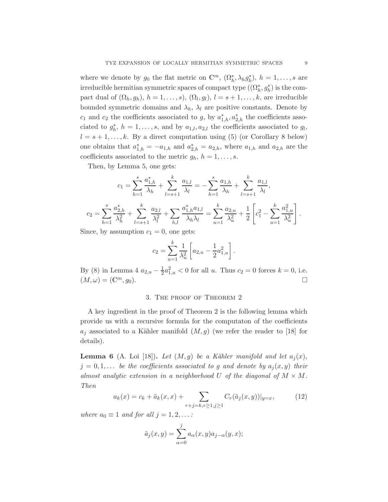where we denote by  $g_0$  the flat metric on  $\mathbb{C}^m$ ,  $(\Omega_h^*, \lambda_h g_h^*)$ ,  $h = 1, \ldots, s$  are irreducible hermitian symmetric spaces of compact type  $((\Omega_h^*, g_h^*)$  is the compact dual of  $(\Omega_h, g_h)$ ,  $h = 1, \ldots, s$ ,  $(\Omega_l, g_l)$ ,  $l = s + 1, \ldots, k$ , are irreducible bounded symmetric domains and  $\lambda_h$ ,  $\lambda_l$  are positive constants. Denote by  $c_1$  and  $c_2$  the coefficients associated to g, by  $a_{1,h}^*$ ,  $a_{2,h}^*$  the coefficients associated to  $g_h^*$ ,  $h = 1, \ldots, s$ , and by  $a_{1,l}, a_{2,l}$  the coefficients associated to  $g_l$ ,  $l = s + 1, \ldots, k$ . By a direct computation using [\(5\)](#page-3-0) (or Corollary [8](#page-13-0) below) one obtains that  $a_{1,h}^* = -a_{1,h}$  and  $a_{2,h}^* = a_{2,h}$ , where  $a_{1,h}$  and  $a_{2,h}$  are the coefficients associated to the metric  $g_h$ ,  $h = 1, \ldots, s$ .

Then, by Lemma [5,](#page-7-2) one gets:

$$
c_1 = \sum_{h=1}^s \frac{a_{1,h}^*}{\lambda_h} + \sum_{l=s+1}^k \frac{a_{1,l}}{\lambda_l} = -\sum_{h=1}^s \frac{a_{1,h}}{\lambda_h} + \sum_{l=s+1}^k \frac{a_{1,l}}{\lambda_l},
$$

$$
c_2 = \sum_{h=1}^s \frac{a_{2,h}^*}{\lambda_h^2} + \sum_{l=s+1}^k \frac{a_{2,l}}{\lambda_l^2} + \sum_{h,l} \frac{a_{1,h}^* a_{1,l}}{\lambda_h \lambda_l} = \sum_{u=1}^k \frac{a_{2,u}}{\lambda_u^2} + \frac{1}{2} \left[ c_1^2 - \sum_{u=1}^k \frac{a_{1,u}^2}{\lambda_u^2} \right].
$$

Since, by assumption  $c_1 = 0$ , one gets:

$$
c_2 = \sum_{u=1}^k \frac{1}{\lambda_u^2} \left[ a_{2,u} - \frac{1}{2} a_{1,u}^2 \right].
$$

By [\(8\)](#page-7-3) in Lemma [4](#page-7-0)  $a_{2,u} - \frac{1}{2} a_{1,u}^2 < 0$  for all u. Thus  $c_2 = 0$  forces  $k = 0$ , i.e.  $(M, \omega) = (\mathbb{C}^m, g_0).$ 

#### 3. The proof of Theorem [2](#page-6-1)

A key ingredient in the proof of Theorem [2](#page-6-1) is the following lemma which provide us with a recursive formula for the computaton of the coefficients  $a_i$  associated to a Kähler manifold  $(M,g)$  (we refer the reader to [\[18\]](#page-15-5) for details).

**Lemma 6** (A. Loi [\[18\]](#page-15-5)). Let  $(M, g)$  be a Kähler manifold and let  $a_i(x)$ ,  $j = 0, 1, \ldots$  be the coefficients associated to g and denote by  $a_i(x, y)$  their almost analytic extension in a neighborhood U of the diagonal of  $M \times M$ . Then

<span id="page-9-0"></span>
$$
a_k(x) = c_k + \tilde{a}_k(x, x) + \sum_{r+j=k, r\geq 1, j\geq 1} C_r(\tilde{a}_j(x, y))|_{y=x},
$$
 (12)

where  $a_0 \equiv 1$  and for all  $j = 1, 2, \ldots$ :

$$
\tilde{a}_j(x,y) = \sum_{\alpha=0}^j a_\alpha(x,y) a_{j-\alpha}(y,x);
$$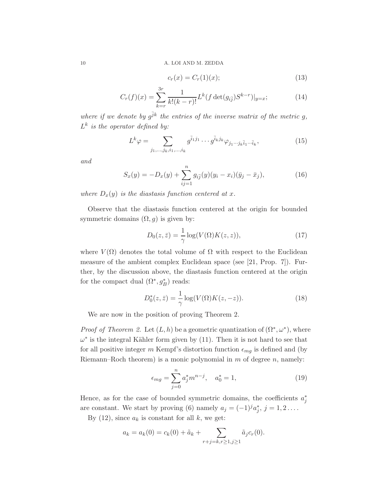<span id="page-10-2"></span>
$$
c_r(x) = C_r(1)(x); \tag{13}
$$

<span id="page-10-3"></span>
$$
C_r(f)(x) = \sum_{k=r}^{3r} \frac{1}{k!(k-r)!} L^k(f \det(g_{i\overline{j}}) S^{k-r})|_{y=x};
$$
\n(14)

where if we denote by  $g^{\bar{j}k}$  the entries of the inverse matrix of the metric g,  $L^k$  is the operator defined by:

<span id="page-10-5"></span>
$$
L^k \varphi = \sum_{j_1, \dots, j_k, i_1, \dots, i_k} g^{\bar{i}_1 j_1} \cdots g^{\bar{i}_k j_k} \varphi_{j_1 \cdots j_k \bar{i}_1 \cdots \bar{i}_k},\tag{15}
$$

and

<span id="page-10-1"></span>
$$
S_x(y) = -D_x(y) + \sum_{ij=1}^n g_{i\bar{j}}(y)(y_i - x_i)(\bar{y}_j - \bar{x}_j), \qquad (16)
$$

where  $D_x(y)$  is the diastasis function centered at x.

Observe that the diastasis function centered at the origin for bounded symmetric domains  $(\Omega, g)$  is given by:

<span id="page-10-0"></span>
$$
D_0(z,\bar{z}) = \frac{1}{\gamma} \log(V(\Omega)K(z,z)),\tag{17}
$$

where  $V(\Omega)$  denotes the total volume of  $\Omega$  with respect to the Euclidean measure of the ambient complex Euclidean space (see [\[21,](#page-15-18) Prop. 7]). Further, by the discussion above, the diastasis function centered at the origin for the compact dual  $(\Omega^*, g_B^*)$  reads:

<span id="page-10-4"></span>
$$
D_0^*(z, \bar{z}) = \frac{1}{\gamma} \log(V(\Omega) K(z, -z)).
$$
\n(18)

We are now in the position of proving Theorem [2.](#page-6-1)

*Proof of Theorem [2.](#page-6-1)* Let  $(L, h)$  be a geometric quantization of  $(\Omega^*, \omega^*)$ , where  $\omega^*$  is the integral Kähler form given by [\(11\)](#page-8-1). Then it is not hard to see that for all positive integer m Kempf's distortion function  $\epsilon_{mq}$  is defined and (by Riemann–Roch theorem) is a monic polynomial in  $m$  of degree  $n$ , namely:

$$
\epsilon_{mg} = \sum_{j=0}^{n} a_j^* m^{n-j}, \quad a_0^* = 1,
$$
\n(19)

Hence, as for the case of bounded symmetric domains, the coefficients  $a_j^*$ are constant. We start by proving [\(6\)](#page-6-2) namely  $a_j = (-1)^j a_j^*, j = 1, 2, \ldots$ 

By [\(12\)](#page-9-0), since  $a_k$  is constant for all k, we get:

$$
a_k = a_k(0) = c_k(0) + \tilde{a}_k + \sum_{r+j=k, r\geq 1, j\geq 1} \tilde{a}_j c_r(0).
$$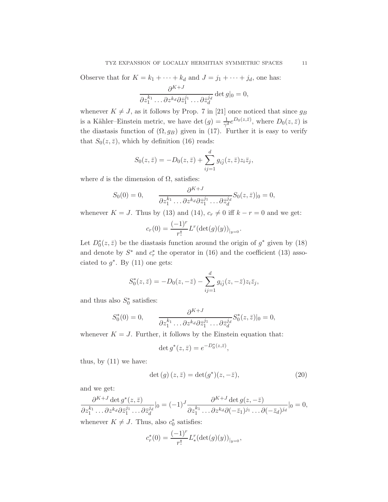Observe that for  $K = k_1 + \cdots + k_d$  and  $J = j_1 + \cdots + j_d$ , one has:

$$
\frac{\partial^{K+J}}{\partial z_1^{k_1} \dots \partial z^{k_d} \partial \bar{z}_1^{j_1} \dots \partial \bar{z}_d^{j_d}} \det g|_0 = 0,
$$

whenever  $K \neq J$ , as it follows by Prop. 7 in [\[21\]](#page-15-18) once noticed that since  $g_B$ is a Kähler–Einstein metric, we have det  $(g) = \frac{1}{\gamma^d} e^{D_0(z,\bar{z})}$ , where  $D_0(z,\bar{z})$  is the diastasis function of  $(\Omega, g_B)$  given in [\(17\)](#page-10-0). Further it is easy to verify that  $S_0(z, \bar{z})$ , which by definition [\(16\)](#page-10-1) reads:

$$
S_0(z,\bar{z}) = -D_0(z,\bar{z}) + \sum_{ij=1}^d g_{i\bar{j}}(z,\bar{z}) z_i \bar{z}_j,
$$

where d is the dimension of  $\Omega$ , satisfies:

$$
S_0(0) = 0, \qquad \frac{\partial^{K+J}}{\partial z_1^{k_1} \dots \partial z^{k_d} \partial \bar{z}_1^{j_1} \dots \partial \bar{z}_d^{j_d}} S_0(z, \bar{z})|_0 = 0,
$$

whenever  $K = J$ . Thus by [\(13\)](#page-10-2) and [\(14\)](#page-10-3),  $c_r \neq 0$  iff  $k - r = 0$  and we get:

$$
c_r(0) = \frac{(-1)^r}{r!} L^r(\det(g)(y))_{|y=0}.
$$

Let  $D_0^*(z, \bar{z})$  be the diastasis function around the origin of  $g^*$  given by [\(18\)](#page-10-4) and denote by  $S^*$  and  $c^*_r$  the operator in [\(16\)](#page-10-1) and the coefficient [\(13\)](#page-10-2) associated to  $g^*$ . By [\(11\)](#page-8-1) one gets:

$$
S_0^*(z, \bar{z}) = -D_0(z, -\bar{z}) - \sum_{ij=1}^d g_{i\bar{j}}(z, -\bar{z}) z_i \bar{z}_j,
$$

and thus also  $S_0^*$  satisfies:

$$
S_0^*(0) = 0, \qquad \frac{\partial^{K+J}}{\partial z_1^{k_1} \dots \partial z^{k_d} \partial \bar{z}_1^{j_1} \dots \partial \bar{z}_d^{j_d}} S_0^*(z, \bar{z})|_0 = 0,
$$

whenever  $K = J$ . Further, it follows by the Einstein equation that:

$$
\det g^*(z, \bar{z}) = e^{-D_0^*(z, \bar{z})},
$$

thus, by [\(11\)](#page-8-1) we have:

<span id="page-11-0"></span>
$$
\det(g)(z,\bar{z}) = \det(g^*)(z,-\bar{z}),\tag{20}
$$

and we get:

$$
\frac{\partial^{K+J} \det g^*(z,\bar{z})}{\partial z_1^{k_1} \dots \partial z^{k_d} \partial \bar{z}_d^{j_1} \dots \partial \bar{z}_d^{j_d}}|_{0} = (-1)^J \frac{\partial^{K+J} \det g(z,-\bar{z})}{\partial z_1^{k_1} \dots \partial z^{k_d} \partial (-\bar{z}_1)^{j_1} \dots \partial (-\bar{z}_d)^{j_d}}|_{0} = 0,
$$

whenever  $K \neq J$ . Thus, also  $c_0^*$  satisfies:

$$
c_r^*(0) = \frac{(-1)^r}{r!} L_*^r (\det(g)(y))_{|y=0},
$$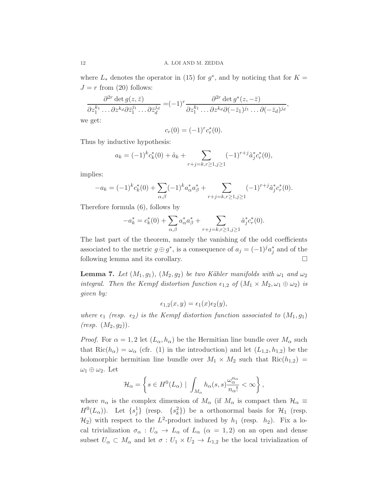where  $L_*$  denotes the operator in [\(15\)](#page-10-5) for  $g^*$ , and by noticing that for  $K =$  $J = r$  from [\(20\)](#page-11-0) follows:

$$
\frac{\partial^{2r} \det g(z,\bar{z})}{\partial z_1^{k_1} \dots \partial z^{k_d} \partial \bar{z}_1^{j_1} \dots \partial \bar{z}_d^{j_d}} = (-1)^r \frac{\partial^{2r} \det g^*(z,-\bar{z})}{\partial z_1^{k_1} \dots \partial z^{k_d} \partial (-\bar{z}_1)^{j_1} \dots \partial (-\bar{z}_d)^{j_d}},
$$
 we get:

$$
c_r(0) = (-1)^r c_r^*(0).
$$

Thus by inductive hypothesis:

$$
a_k = (-1)^k c_k^*(0) + \tilde{a}_k + \sum_{r+j=k, r\geq 1, j\geq 1} (-1)^{r+j} \tilde{a}_j^* c_r^*(0),
$$

implies:

$$
-a_k = (-1)^k c_k^*(0) + \sum_{\alpha,\beta} (-1)^k a_\alpha^* a_\beta^* + \sum_{r+j=k, r\geq 1, j\geq 1} (-1)^{r+j} \tilde{a}_j^* c_r^*(0).
$$

Therefore formula [\(6\)](#page-6-2), follows by

$$
-a_k^* = c_k^*(0) + \sum_{\alpha,\beta} a_\alpha^* a_\beta^* + \sum_{r+j=k, r\geq 1, j\geq 1} \tilde{a}_j^* c_r^*(0).
$$

The last part of the theorem, namely the vanishing of the odd coefficients associated to the metric  $g \oplus g^*$ , is a consequence of  $a_j = (-1)^j a_j^*$  and of the following lemma and its corollary.  $\Box$ 

**Lemma 7.** Let  $(M_1, g_1)$ ,  $(M_2, g_2)$  be two Kähler manifolds with  $\omega_1$  and  $\omega_2$ integral. Then the Kempf distortion function  $\epsilon_{1,2}$  of  $(M_1 \times M_2, \omega_1 \oplus \omega_2)$  is given by:

$$
\epsilon_{1,2}(x,y) = \epsilon_1(x)\epsilon_2(y),
$$

where  $\epsilon_1$  (resp.  $\epsilon_2$ ) is the Kempf distortion function associated to  $(M_1, g_1)$  $(resp. (M_2, g_2)).$ 

*Proof.* For  $\alpha = 1, 2$  let  $(L_{\alpha}, h_{\alpha})$  be the Hermitian line bundle over  $M_{\alpha}$  such that  $\text{Ric}(h_{\alpha}) = \omega_{\alpha}$  (cfr. [\(1\)](#page-1-0) in the introduction) and let  $(L_{1,2}, h_{1,2})$  be the holomorphic hermitian line bundle over  $M_1 \times M_2$  such that  $Ric(h_{1,2}) =$  $\omega_1 \oplus \omega_2$ . Let

$$
\mathcal{H}_{\alpha} = \left\{ s \in H^0(L_{\alpha}) \mid \int_{M_{\alpha}} h_{\alpha}(s, s) \frac{\omega_{\alpha}^{n_{\alpha}}}{n_{\alpha}!} < \infty \right\},\,
$$

where  $n_{\alpha}$  is the complex dimension of  $M_{\alpha}$  (if  $M_{\alpha}$  is compact then  $\mathcal{H}_{\alpha} \equiv$  $H^0(L_\alpha)$ ). Let  $\{s_j^1\}$  (resp.  $\{s_k^2\}$ ) be a orthonormal basis for  $\mathcal{H}_1$  (resp.  $\mathcal{H}_2$ ) with respect to the L<sup>2</sup>-product induced by  $h_1$  (resp.  $h_2$ ). Fix a local trivialization  $\sigma_{\alpha}: U_{\alpha} \to L_{\alpha}$  of  $L_{\alpha}$  ( $\alpha = 1, 2$ ) on an open and dense subset  $U_{\alpha} \subset M_{\alpha}$  and let  $\sigma : U_1 \times U_2 \to L_{1,2}$  be the local trivialization of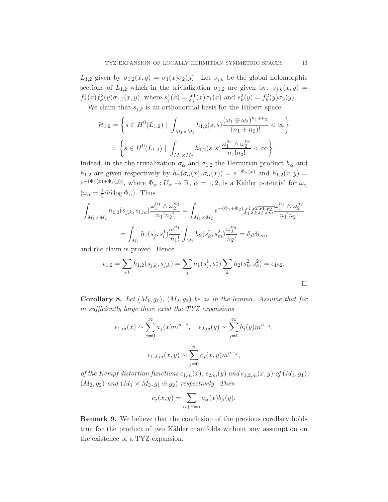$L_{1,2}$  given by  $\sigma_{1,2}(x,y) = \sigma_1(x)\sigma_2(y)$ . Let  $s_{i,k}$  be the global holomorphic sections of  $L_{1,2}$  which in the trivialization  $\sigma_{1,2}$  are given by:  $s_{j,k}(x, y) =$  $f_j^1(x) f_k^2(y) \sigma_{1,2}(x, y)$ , where  $s_j^1(x) = f_j^1(x) \sigma_1(x)$  and  $s_k^2(y) = f_k^2(y) \sigma_2(y)$ .

We claim that  $s_{j,k}$  is an orthonormal basis for the Hilbert space:

$$
\mathcal{H}_{1,2} = \left\{ s \in H^0(L_{1,2}) \mid \int_{M_1 \times M_2} h_{1,2}(s,s) \frac{(\omega_1 \oplus \omega_2)^{n_1+n_2}}{(n_1+n_2)!} < \infty \right\}
$$

$$
= \left\{ s \in H^0(L_{1,2}) \mid \int_{M_1 \times M_2} h_{1,2}(s,s) \frac{\omega_1^{n_1} \wedge \omega_2^{n_2}}{n_1! n_2!} < \infty \right\}.
$$

Indeed, in the the trivialization  $\sigma_{\alpha}$  and  $\sigma_{1,2}$  the Hermitian product  $h_{\alpha}$  and  $h_{1,2}$  are given respectively by  $h_{\alpha}(\sigma_{\alpha}(x), \sigma_{\alpha}(x)) = e^{-\Phi_{\alpha}(x)}$  and  $h_{1,2}(x, y) =$  $e^{-\left(\Phi_1(x)+\Phi_2(y)\right)}$ , where  $\Phi_\alpha: U_\alpha \to \mathbb{R}$ ,  $\alpha = 1, 2$ , is a Kähler potential for  $\omega_\alpha$  $(\omega_{\alpha} = \frac{i}{2} \partial \bar{\partial} \log \Phi_{\alpha})$ . Thus

$$
\int_{M_1 \times M_2} h_{1,2}(s_{j,k}, s_{l,m}) \frac{\omega_1^{n_1} \wedge \omega_2^{n_2}}{n_1! n_2!} = \int_{M_1 \times M_2} e^{-(\Phi_1 + \Phi_2)} f_j^1 f_k^2 \overline{f_l^1 f_m^2} \frac{\omega_1^{n_1} \wedge \omega_2^{n_2}}{n_1! n_2!}
$$
\n
$$
= \int_{M_1} h_1(s_j^1, s_l^1) \frac{\omega_1^{n_1}}{n_1!} \int_{M_2} h_2(s_k^2, s_m^2) \frac{\omega_2^{n_2}}{n_2!} = \delta_{jl} \delta_{km},
$$

and the claim is proved. Hence

$$
\epsilon_{1,2} = \sum_{j,k} h_{1,2}(s_{j,k}, s_{j,k}) = \sum_j h_1(s_j^1, s_j^1) \sum_k h_2(s_k^2, s_k^2) = \epsilon_1 \epsilon_2.
$$

<span id="page-13-0"></span>**Corollary 8.** Let  $(M_1, g_1)$ ,  $(M_2, g_2)$  be as in the lemma. Assume that for m sufficiently large there exist the TYZ expansions

$$
\epsilon_{1,m}(x) \sim \sum_{j=0}^{\infty} a_j(x) m^{n-j}, \quad \epsilon_{2,m}(y) \sim \sum_{j=0}^{\infty} b_j(y) m^{n-j},
$$

$$
\epsilon_{1,2,m}(x,y) \sim \sum_{j=0}^{\infty} c_j(x,y) m^{n-j},
$$

of the Kempf distortion functions  $\epsilon_{1,m}(x)$ ,  $\epsilon_{2,m}(y)$  and  $\epsilon_{1,2,m}(x, y)$  of  $(M_1, g_1)$ ,  $(M_2, g_2)$  and  $(M_1 \times M_2, g_1 \oplus g_2)$  respectively. Then

$$
c_j(x,y) = \sum_{\alpha+\beta=j} a_\alpha(x)b_\beta(y).
$$

Remark 9. We believe that the conclusion of the previous corollary holds true for the product of two Kähler manifolds without any assumption on the existence of a TYZ expansion.

 $\left\{ \right\}$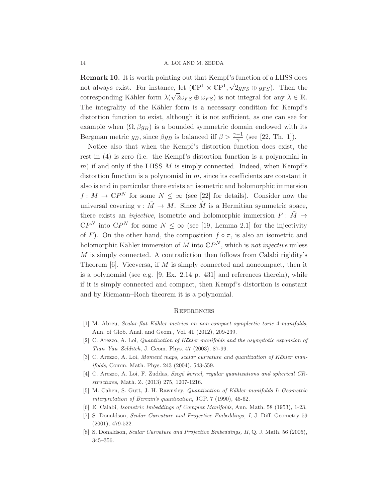Remark 10. It is worth pointing out that Kempf's function of a LHSS does not always exist. For instance, let  $(\mathbb{C}P^1 \times \mathbb{C}P^1, \sqrt{2}g_{FS} \oplus g_{FS})$ . Then the corresponding Kähler form  $\lambda(\sqrt{2}\omega_{FS} \oplus \omega_{FS})$  is not integral for any  $\lambda \in \mathbb{R}$ . The integrality of the Kähler form is a necessary condition for Kempf's distortion function to exist, although it is not sufficient, as one can see for example when  $(\Omega, \beta g_B)$  is a bounded symmetric domain endowed with its Bergman metric  $g_B$ , since  $\beta g_B$  is balanced iff  $\beta > \frac{\gamma - 1}{\gamma}$  (see [\[22,](#page-15-19) Th. 1]).

Notice also that when the Kempf's distortion function does exist, the rest in [\(4\)](#page-2-1) is zero (i.e. the Kempf's distortion function is a polynomial in  $m$ ) if and only if the LHSS  $M$  is simply connected. Indeed, when Kempf's distortion function is a polynomial in  $m$ , since its coefficients are constant it also is and in particular there exists an isometric and holomorphic immersion  $f: M \to \mathbb{C}P^N$  for some  $N \leq \infty$  (see [\[22\]](#page-15-19) for details). Consider now the universal covering  $\pi: \tilde{M} \to M$ . Since  $\tilde{M}$  is a Hermitian symmetric space, there exists an *injective*, isometric and holomorphic immersion  $F : \tilde{M} \rightarrow$  $\mathbb{C}P^N$  into  $\mathbb{C}P^N$  for some  $N \leq \infty$  (see [\[19,](#page-15-20) Lemma 2.1] for the injectivity of F). On the other hand, the composition  $f \circ \pi$ , is also an isometric and holomorphic Kähler immersion of  $\tilde{M}$  into  $\mathbb{C}P^N$ , which is not injective unless M is simply connected. A contradiction then follows from Calabi rigidity's Theorem  $[6]$ . Viceversa, if M is simply connected and noncompact, then it is a polynomial (see e.g. [\[9,](#page-15-21) Ex. 2.14 p. 431] and references therein), while if it is simply connected and compact, then Kempf's distortion is constant and by Riemann–Roch theorem it is a polynomial.

### **REFERENCES**

- <span id="page-14-6"></span><span id="page-14-0"></span>[1] M. Abreu, Scalar-flat Kähler metrics on non-compact symplectic toric 4-manifolds, Ann. of Glob. Anal. and Geom., Vol. 41 (2012), 209-239.
- <span id="page-14-4"></span>[2] C. Arezzo, A. Loi, *Quantization of Kähler manifolds and the asymptotic expansion of* Tian–Yau–Zelditch, J. Geom. Phys. 47 (2003), 87-99.
- <span id="page-14-5"></span>[3] C. Arezzo, A. Loi, Moment maps, scalar curvature and quantization of Kähler manifolds, Comm. Math. Phys. 243 (2004), 543-559.
- <span id="page-14-1"></span>[4] C. Arezzo, A. Loi, F. Zuddas, Szegö kernel, regular quantizations and spherical CRstructures, Math. Z. (2013) 275, 1207-1216.
- <span id="page-14-7"></span>[5] M. Cahen, S. Gutt, J. H. Rawnsley, *Quantization of Kähler manifolds I: Geometric* interpretation of Berezin's quantization, JGP. 7 (1990), 45-62.
- <span id="page-14-2"></span>[6] E. Calabi, Isometric Imbeddings of Complex Manifolds, Ann. Math. 58 (1953), 1-23.
- [7] S. Donaldson, Scalar Curvature and Projective Embeddings, I, J. Diff. Geometry 59 (2001), 479-522.
- <span id="page-14-3"></span>[8] S. Donaldson, Scalar Curvature and Projective Embeddings, II, Q. J. Math. 56 (2005), 345–356.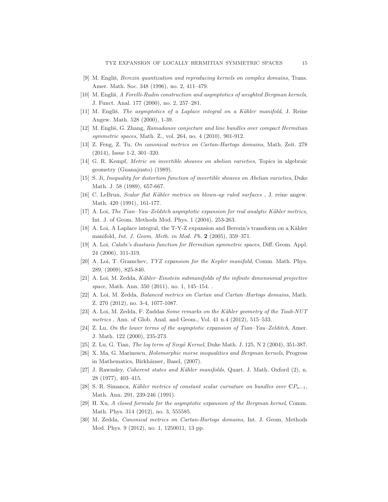- <span id="page-15-21"></span><span id="page-15-7"></span>[9] M. Englis, *Berezin quantization and reproducing kernels on complex domains*, Trans. Amer. Math. Soc. 348 (1996), no. 2, 411–479.
- <span id="page-15-17"></span>[10] M. Engliš, A Forelli-Rudin construction and asymptotics of weighted Bergman kernels, J. Funct. Anal. 177 (2000), no. 2, 257–281.
- <span id="page-15-12"></span> $[11]$  M. Engliš, The asymptotics of a Laplace integral on a Kähler manifold, J. Reine Angew. Math. 528 (2000), 1-39.
- <span id="page-15-13"></span>[12] M. Engliš, G. Zhang, Ramadanov conjecture and line bundles over compact Hermitian symmetric spaces, Math. Z., vol. 264, no. 4 (2010), 901-912.
- <span id="page-15-1"></span>[13] Z. Feng, Z. Tu, On canonical metrics on Cartan-Hartogs domains, Math. Zeit. 278 (2014), Issue 1-2, 301–320.
- <span id="page-15-2"></span>[14] G. R. Kempf, Metric on invertible sheaves on abelian varieties, Topics in algebraic geometry (Guanajuato) (1989).
- <span id="page-15-15"></span>[15] S. Ji, Inequality for distortion function of invertible sheaves on Abelian varieties, Duke Math. J. 58 (1989), 657-667.
- <span id="page-15-4"></span>[16] C. LeBrun, Scalar flat Kähler metrics on blown-up ruled surfaces, J. reine angew. Math. 420 (1991), 161-177.
- <span id="page-15-5"></span>[17] A. Loi, The Tian–Yau–Zelditch asymptotic expansion for real analytic Kähler metrics, Int. J. of Geom. Methods Mod. Phys. 1 (2004), 253-263.
- <span id="page-15-20"></span>[18] A. Loi, A Laplace integral, the T-Y-Z expansion and Berezin's transform on a Kähler manifold, Int. J. Geom. Meth. in Mod. Ph. 2 (2005), 359–371.
- <span id="page-15-9"></span>[19] A. Loi, Calabi's diastasis function for Hermitian symmetric spaces, Diff. Geom. Appl. 24 (2006), 311-319.
- <span id="page-15-18"></span>[20] A. Loi, T. Gramchev, TYZ expansion for the Kepler manifold, Comm. Math. Phys. 289, (2009), 825-840.
- <span id="page-15-19"></span>[21] A. Loi, M. Zedda, Kähler–Einstein submanifolds of the infinite dimensional projective space, Math. Ann. 350 (2011), no. 1, 145–154. .
- <span id="page-15-10"></span>[22] A. Loi, M. Zedda, Balanced metrics on Cartan and Cartan–Hartogs domains, Math. Z. 270 (2012), no. 3-4, 1077-1087.
- <span id="page-15-3"></span> $[23]$  A. Loi, M. Zedda, F. Zuddas *Some remarks on the Kähler geometry of the Taub-NUT* metrics , Ann. of Glob. Anal. and Geom., Vol. 41 n.4 (2012), 515–533.
- <span id="page-15-11"></span>[24] Z. Lu, On the lower terms of the asymptotic expansion of Tian–Yau–Zelditch, Amer. J. Math. 122 (2000), 235-273.
- <span id="page-15-8"></span>[25] Z. Lu, G. Tian, *The log term of Szegö Kernel*, Duke Math. J. 125, N 2 (2004), 351-387.
- <span id="page-15-0"></span>[26] X. Ma, G. Marinescu, Holomorphic morse inequalities and Bergman kernels, Progress in Mathematics, Birkhäuser, Basel, (2007).
- <span id="page-15-16"></span>[27] J. Rawnsley, Coherent states and Kähler manifolds, Quart. J. Math. Oxford (2), n. 28 (1977), 403–415.
- <span id="page-15-6"></span>[28] S. R. Simanca, Kähler metrics of constant scalar curvature on bundles over  $\mathbb{C}P_{n-1}$ , Math. Ann. 291, 239-246 (1991).
- <span id="page-15-14"></span>[29] H. Xu, A closed formula for the asymptotic expansion of the Bergman kernel, Comm. Math. Phys. 314 (2012), no. 3, 555585.
- [30] M. Zedda, Canonical metrics on Cartan-Hartogs domains, Int. J. Geom. Methods Mod. Phys. 9 (2012), no. 1, 1250011, 13 pp.